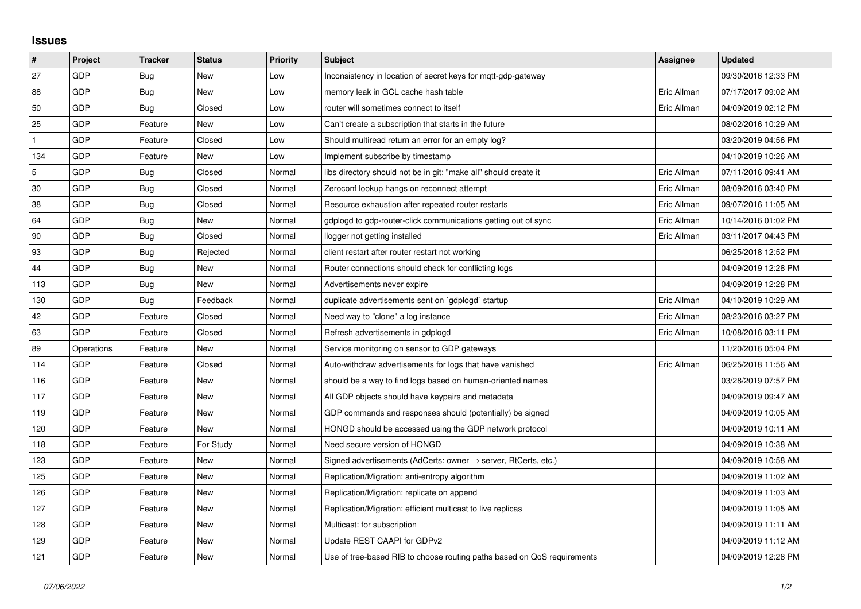## **Issues**

| $\vert$ #    | Project    | <b>Tracker</b> | <b>Status</b> | <b>Priority</b> | <b>Subject</b>                                                             | Assignee    | <b>Updated</b>      |
|--------------|------------|----------------|---------------|-----------------|----------------------------------------------------------------------------|-------------|---------------------|
| 27           | GDP        | Bug            | New           | Low             | Inconsistency in location of secret keys for mqtt-gdp-gateway              |             | 09/30/2016 12:33 PM |
| 88           | GDP        | Bug            | New           | Low             | memory leak in GCL cache hash table                                        | Eric Allman | 07/17/2017 09:02 AM |
| 50           | GDP        | Bug            | Closed        | Low             | router will sometimes connect to itself                                    | Eric Allman | 04/09/2019 02:12 PM |
| 25           | GDP        | Feature        | New           | Low             | Can't create a subscription that starts in the future                      |             | 08/02/2016 10:29 AM |
| $\mathbf{1}$ | GDP        | Feature        | Closed        | Low             | Should multiread return an error for an empty log?                         |             | 03/20/2019 04:56 PM |
| 134          | GDP        | Feature        | New           | Low             | Implement subscribe by timestamp                                           |             | 04/10/2019 10:26 AM |
| 5            | GDP        | Bug            | Closed        | Normal          | libs directory should not be in git; "make all" should create it           | Eric Allman | 07/11/2016 09:41 AM |
| 30           | GDP        | Bug            | Closed        | Normal          | Zeroconf lookup hangs on reconnect attempt                                 | Eric Allman | 08/09/2016 03:40 PM |
| 38           | GDP        | Bug            | Closed        | Normal          | Resource exhaustion after repeated router restarts                         | Eric Allman | 09/07/2016 11:05 AM |
| 64           | GDP        | Bug            | New           | Normal          | gdplogd to gdp-router-click communications getting out of sync             | Eric Allman | 10/14/2016 01:02 PM |
| 90           | GDP        | <b>Bug</b>     | Closed        | Normal          | llogger not getting installed                                              | Eric Allman | 03/11/2017 04:43 PM |
| 93           | GDP        | Bug            | Rejected      | Normal          | client restart after router restart not working                            |             | 06/25/2018 12:52 PM |
| 44           | GDP        | Bug            | <b>New</b>    | Normal          | Router connections should check for conflicting logs                       |             | 04/09/2019 12:28 PM |
| 113          | GDP        | Bug            | New           | Normal          | Advertisements never expire                                                |             | 04/09/2019 12:28 PM |
| 130          | GDP        | Bug            | Feedback      | Normal          | duplicate advertisements sent on `gdplogd` startup                         | Eric Allman | 04/10/2019 10:29 AM |
| 42           | GDP        | Feature        | Closed        | Normal          | Need way to "clone" a log instance                                         | Eric Allman | 08/23/2016 03:27 PM |
| 63           | GDP        | Feature        | Closed        | Normal          | Refresh advertisements in gdplogd                                          | Eric Allman | 10/08/2016 03:11 PM |
| 89           | Operations | Feature        | <b>New</b>    | Normal          | Service monitoring on sensor to GDP gateways                               |             | 11/20/2016 05:04 PM |
| 114          | GDP        | Feature        | Closed        | Normal          | Auto-withdraw advertisements for logs that have vanished                   | Eric Allman | 06/25/2018 11:56 AM |
| 116          | GDP        | Feature        | New           | Normal          | should be a way to find logs based on human-oriented names                 |             | 03/28/2019 07:57 PM |
| 117          | GDP        | Feature        | New           | Normal          | All GDP objects should have keypairs and metadata                          |             | 04/09/2019 09:47 AM |
| 119          | GDP        | Feature        | New           | Normal          | GDP commands and responses should (potentially) be signed                  |             | 04/09/2019 10:05 AM |
| 120          | GDP        | Feature        | <b>New</b>    | Normal          | HONGD should be accessed using the GDP network protocol                    |             | 04/09/2019 10:11 AM |
| 118          | GDP        | Feature        | For Study     | Normal          | Need secure version of HONGD                                               |             | 04/09/2019 10:38 AM |
| 123          | GDP        | Feature        | New           | Normal          | Signed advertisements (AdCerts: owner $\rightarrow$ server, RtCerts, etc.) |             | 04/09/2019 10:58 AM |
| 125          | GDP        | Feature        | <b>New</b>    | Normal          | Replication/Migration: anti-entropy algorithm                              |             | 04/09/2019 11:02 AM |
| 126          | GDP        | Feature        | New           | Normal          | Replication/Migration: replicate on append                                 |             | 04/09/2019 11:03 AM |
| 127          | GDP        | Feature        | New           | Normal          | Replication/Migration: efficient multicast to live replicas                |             | 04/09/2019 11:05 AM |
| 128          | GDP        | Feature        | New           | Normal          | Multicast: for subscription                                                |             | 04/09/2019 11:11 AM |
| 129          | GDP        | Feature        | New           | Normal          | Update REST CAAPI for GDPv2                                                |             | 04/09/2019 11:12 AM |
| 121          | GDP        | Feature        | New           | Normal          | Use of tree-based RIB to choose routing paths based on QoS requirements    |             | 04/09/2019 12:28 PM |